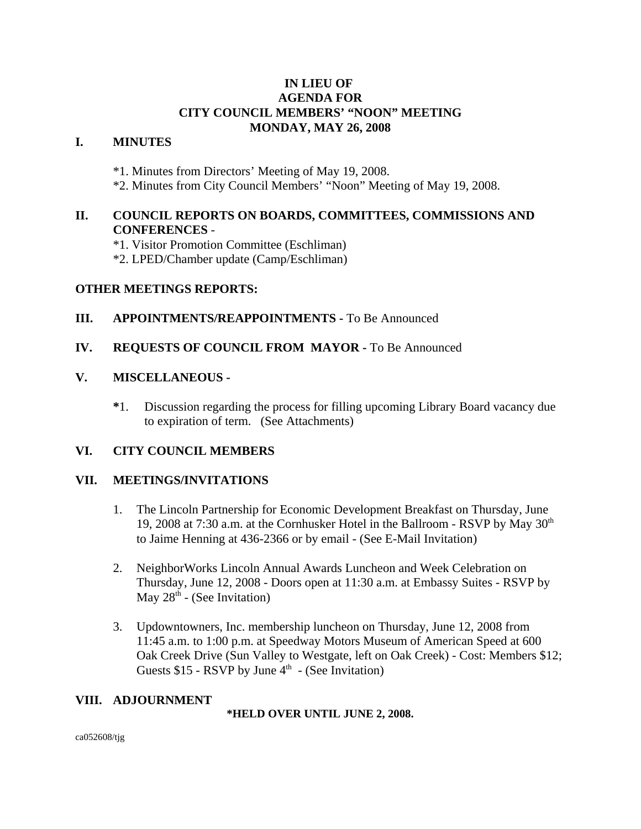# **IN LIEU OF AGENDA FOR CITY COUNCIL MEMBERS' "NOON" MEETING MONDAY, MAY 26, 2008**

# **I. MINUTES**

\*1. Minutes from Directors' Meeting of May 19, 2008.

\*2. Minutes from City Council Members' "Noon" Meeting of May 19, 2008.

# **II. COUNCIL REPORTS ON BOARDS, COMMITTEES, COMMISSIONS AND CONFERENCES** -

\*1. Visitor Promotion Committee (Eschliman)

\*2. LPED/Chamber update (Camp/Eschliman)

## **OTHER MEETINGS REPORTS:**

### **III.** APPOINTMENTS/REAPPOINTMENTS - To Be Announced

### **IV. REQUESTS OF COUNCIL FROM MAYOR -** To Be Announced

## **V. MISCELLANEOUS -**

**\***1. Discussion regarding the process for filling upcoming Library Board vacancy due to expiration of term. (See Attachments)

### **VI. CITY COUNCIL MEMBERS**

# **VII. MEETINGS/INVITATIONS**

- 1. The Lincoln Partnership for Economic Development Breakfast on Thursday, June 19, 2008 at 7:30 a.m. at the Cornhusker Hotel in the Ballroom - RSVP by May  $30<sup>th</sup>$ to Jaime Henning at 436-2366 or by email - (See E-Mail Invitation)
- 2. NeighborWorks Lincoln Annual Awards Luncheon and Week Celebration on Thursday, June 12, 2008 - Doors open at 11:30 a.m. at Embassy Suites - RSVP by May  $28<sup>th</sup>$  - (See Invitation)
- 3. Updowntowners, Inc. membership luncheon on Thursday, June 12, 2008 from 11:45 a.m. to 1:00 p.m. at Speedway Motors Museum of American Speed at 600 Oak Creek Drive (Sun Valley to Westgate, left on Oak Creek) - Cost: Members \$12; Guests  $$15$  - RSVP by June  $4<sup>th</sup>$  - (See Invitation)

### **VIII. ADJOURNMENT**

**\*HELD OVER UNTIL JUNE 2, 2008.**

ca052608/tjg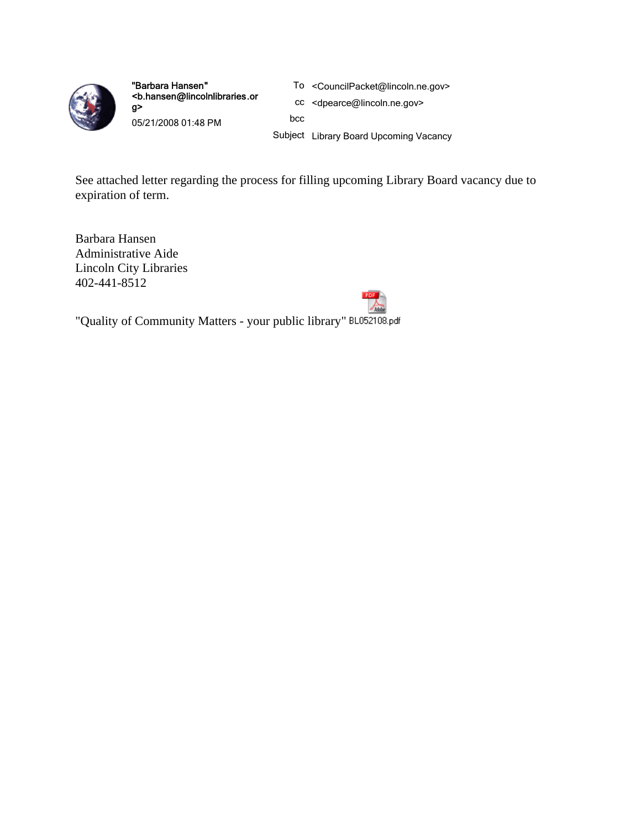

"Barbara Hansen" <b.hansen@lincolnlibraries.or g> 05/21/2008 01:48 PM

- To <CouncilPacket@lincoln.ne.gov>
- cc <dpearce@lincoln.ne.gov>

bcc

Subject Library Board Upcoming Vacancy

See attached letter regarding the process for filling upcoming Library Board vacancy due to expiration of term.

Barbara Hansen Administrative Aide Lincoln City Libraries 402-441-8512



"Quality of Community Matters - your public library" BL052108.pdf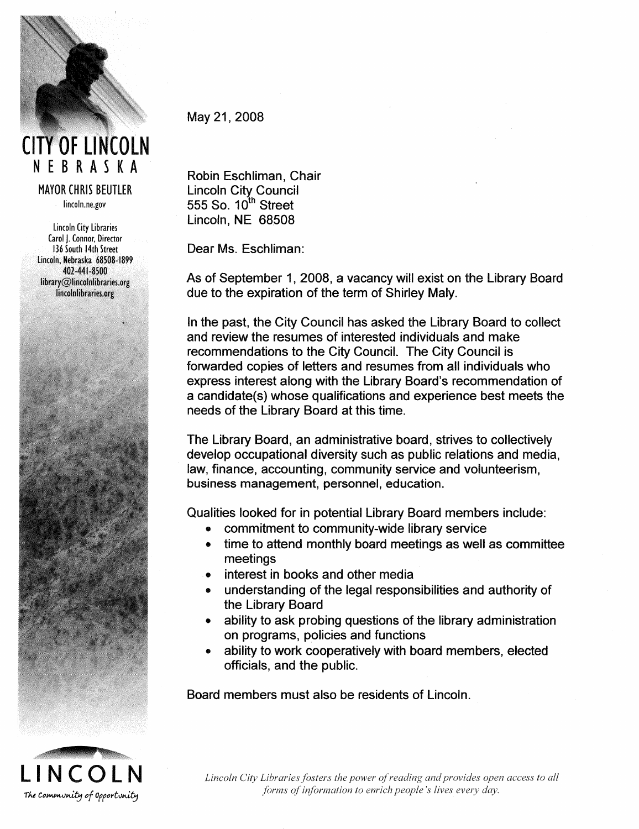

# **CITY OF LINCOLN** NEBRASKA

**MAYOR CHRIS BEUTLER** lincoln.ne.gov

Lincoln City Libraries Carol J. Connor, Director 136 South 14th Street Lincoln, Nebraska 68508-1899 402-441-8500  $library@lincollibraries.org$ lincolnlibraries.org



May 21, 2008

Robin Eschliman, Chair Lincoln City Council<br>555 So. 10<sup>th</sup> Street Lincoln, NE 68508

Dear Ms. Eschliman:

As of September 1, 2008, a vacancy will exist on the Library Board due to the expiration of the term of Shirley Maly.

In the past, the City Council has asked the Library Board to collect and review the resumes of interested individuals and make recommendations to the City Council. The City Council is forwarded copies of letters and resumes from all individuals who express interest along with the Library Board's recommendation of a candidate(s) whose qualifications and experience best meets the needs of the Library Board at this time.

The Library Board, an administrative board, strives to collectively develop occupational diversity such as public relations and media, law, finance, accounting, community service and volunteerism, business management, personnel, education.

Qualities looked for in potential Library Board members include:

- commitment to community-wide library service
- time to attend monthly board meetings as well as committee meetings
- interest in books and other media
- understanding of the legal responsibilities and authority of the Library Board
- ability to ask probing questions of the library administration on programs, policies and functions
- ability to work cooperatively with board members, elected officials, and the public.

Board members must also be residents of Lincoln.



Lincoln City Libraries fosters the power of reading and provides open access to all forms of information to enrich people's lives every day.